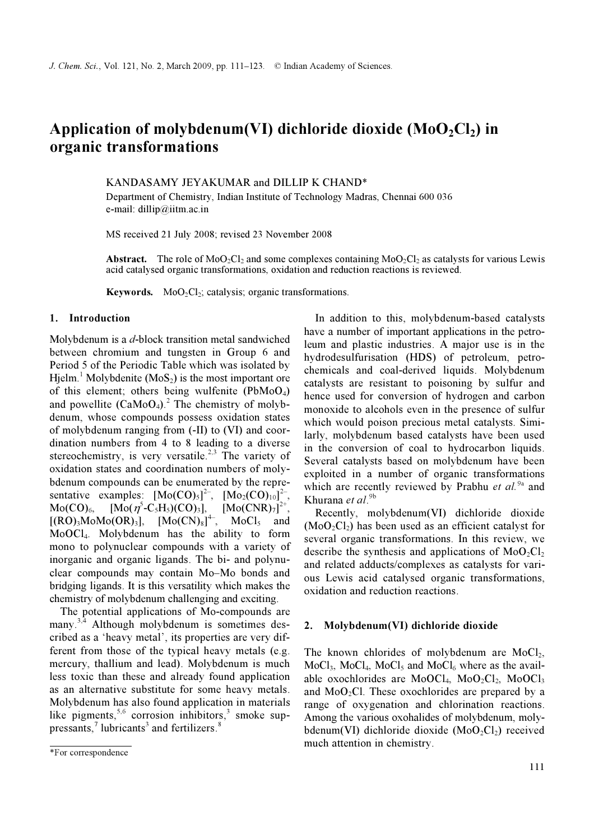# Application of molybdenum(VI) dichloride dioxide ( $MoO<sub>2</sub>Cl<sub>2</sub>$ ) in organic transformations

KANDASAMY JEYAKUMAR and DILLIP K CHAND\*

Department of Chemistry, Indian Institute of Technology Madras, Chennai 600 036 e-mail: dillip@iitm.ac.in

MS received 21 July 2008; revised 23 November 2008

Abstract. The role of MoO<sub>2</sub>Cl<sub>2</sub> and some complexes containing MoO<sub>2</sub>Cl<sub>2</sub> as catalysts for various Lewis acid catalysed organic transformations, oxidation and reduction reactions is reviewed.

**Keywords.** MoO<sub>2</sub>Cl<sub>2</sub>; catalysis; organic transformations.

### 1. Introduction

Molybdenum is a d-block transition metal sandwiched between chromium and tungsten in Group 6 and Period 5 of the Periodic Table which was isolated by Hjelm.<sup>1</sup> Molybdenite ( $MoS_2$ ) is the most important ore of this element; others being wulfenite  $(PbMoO<sub>4</sub>)$ and powellite  $(CaMoO<sub>4</sub>)<sup>2</sup>$ . The chemistry of molybdenum, whose compounds possess oxidation states of molybdenum ranging from (-II) to (VI) and coordination numbers from 4 to 8 leading to a diverse stereochemistry, is very versatile.<sup>2,3</sup> The variety of oxidation states and coordination numbers of molybdenum compounds can be enumerated by the representative examples:  $[Mo(CO)_5]^{2-}$ ,  $[Mo_2(CO)_{10}]^{2-}$ ,  $Mo(CO)_{6}$ ,  $[Mo(\eta^{5}-C_{5}H_{5})(CO)_{3}]$ ,  $[Mo(CNR)_{7}]$  $[Mo(CNR)<sub>7</sub>]^{2+}$  $[(RO)<sub>3</sub>MoMo(OR)<sub>3</sub>], [Mo(CN)<sub>8</sub>]$  $MoCl<sub>5</sub>$  and MoOCl4. Molybdenum has the ability to form mono to polynuclear compounds with a variety of inorganic and organic ligands. The bi- and polynuclear compounds may contain Mo–Mo bonds and bridging ligands. It is this versatility which makes the chemistry of molybdenum challenging and exciting.

 The potential applications of Mo-compounds are many.<sup>3,4</sup> Although molybdenum is sometimes described as a 'heavy metal', its properties are very different from those of the typical heavy metals (e.g. mercury, thallium and lead). Molybdenum is much less toxic than these and already found application as an alternative substitute for some heavy metals. Molybdenum has also found application in materials like pigments,<sup>5,6</sup> corrosion inhibitors,<sup>3</sup> smoke suppressants, $\frac{7}{1}$  lubricants<sup>3</sup> and fertilizers.<sup>8</sup>

 In addition to this, molybdenum-based catalysts have a number of important applications in the petroleum and plastic industries. A major use is in the hydrodesulfurisation (HDS) of petroleum, petrochemicals and coal-derived liquids. Molybdenum catalysts are resistant to poisoning by sulfur and hence used for conversion of hydrogen and carbon monoxide to alcohols even in the presence of sulfur which would poison precious metal catalysts. Similarly, molybdenum based catalysts have been used in the conversion of coal to hydrocarbon liquids. Several catalysts based on molybdenum have been exploited in a number of organic transformations which are recently reviewed by Prabhu *et al.*<sup>9a</sup> and Khurana et al.<sup>9b</sup>

 Recently, molybdenum(VI) dichloride dioxide  $(MoO<sub>2</sub>Cl<sub>2</sub>)$  has been used as an efficient catalyst for several organic transformations. In this review, we describe the synthesis and applications of  $MoO<sub>2</sub>Cl<sub>2</sub>$ and related adducts/complexes as catalysts for various Lewis acid catalysed organic transformations, oxidation and reduction reactions.

#### 2. Molybdenum(VI) dichloride dioxide

The known chlorides of molybdenum are  $MoCl<sub>2</sub>$ ,  $Mod_{3}$ , MoCl<sub>4</sub>, MoCl<sub>5</sub> and MoCl<sub>6</sub> where as the available oxochlorides are  $MoOCl<sub>4</sub>$ ,  $MoO<sub>2</sub>Cl<sub>2</sub>$ ,  $MoOCl<sub>3</sub>$ and  $MoO<sub>2</sub>Cl$ . These oxochlorides are prepared by a range of oxygenation and chlorination reactions. Among the various oxohalides of molybdenum, molybdenum(VI) dichloride dioxide  $(MoO<sub>2</sub>Cl<sub>2</sub>)$  received much attention in chemistry.

<sup>\*</sup>For correspondence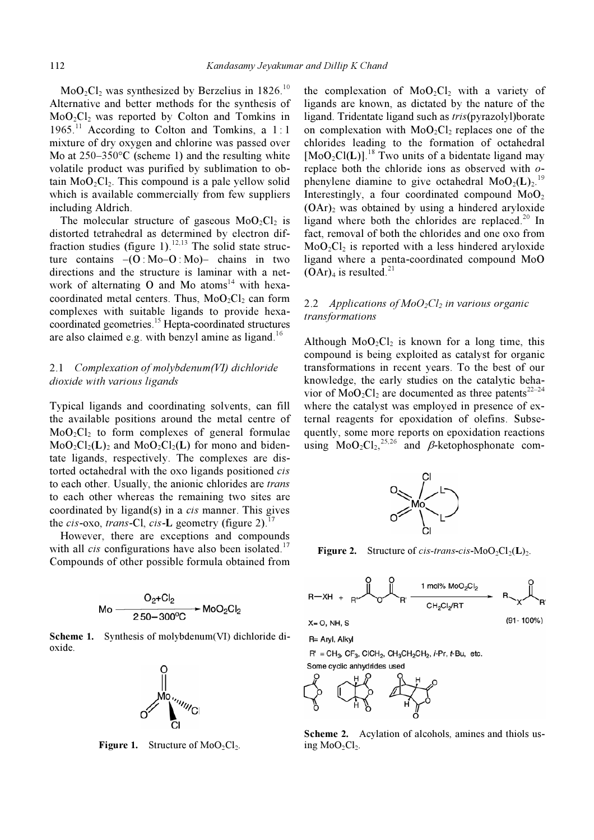$MoO<sub>2</sub>Cl<sub>2</sub>$  was synthesized by Berzelius in 1826.<sup>10</sup> Alternative and better methods for the synthesis of  $MoO<sub>2</sub>Cl<sub>2</sub>$  was reported by Colton and Tomkins in 1965.<sup>11</sup> According to Colton and Tomkins, a 1:1 mixture of dry oxygen and chlorine was passed over Mo at  $250-350$ °C (scheme 1) and the resulting white volatile product was purified by sublimation to obtain  $MoO_2Cl_2$ . This compound is a pale yellow solid which is available commercially from few suppliers including Aldrich.

The molecular structure of gaseous  $MoO<sub>2</sub>Cl<sub>2</sub>$  is distorted tetrahedral as determined by electron diffraction studies (figure 1).<sup>12,13</sup> The solid state structure contains  $-(0:Mo-O:Mo)$  chains in two directions and the structure is laminar with a network of alternating O and Mo atoms<sup>14</sup> with hexacoordinated metal centers. Thus,  $MoO<sub>2</sub>Cl<sub>2</sub>$  can form complexes with suitable ligands to provide hexacoordinated geometries.<sup>15</sup> Hepta-coordinated structures are also claimed e.g. with benzyl amine as ligand.<sup>16</sup>

# 2.1 Complexation of molybdenum(VI) dichloride dioxide with various ligands

Typical ligands and coordinating solvents, can fill the available positions around the metal centre of  $MoO<sub>2</sub>Cl<sub>2</sub>$  to form complexes of general formulae  $MoO<sub>2</sub>Cl<sub>2</sub>(L)$ <sub>2</sub> and  $MoO<sub>2</sub>Cl<sub>2</sub>(L)$  for mono and bidentate ligands, respectively. The complexes are distorted octahedral with the oxo ligands positioned cis to each other. Usually, the anionic chlorides are *trans* to each other whereas the remaining two sites are coordinated by ligand(s) in a cis manner. This gives the cis-oxo, trans-Cl, cis-L geometry (figure 2).<sup>1</sup>

 However, there are exceptions and compounds with all *cis* configurations have also been isolated.<sup>17</sup> Compounds of other possible formula obtained from



Scheme 1. Synthesis of molybdenum (VI) dichloride dioxide.



**Figure 1.** Structure of  $MoO<sub>2</sub>Cl<sub>2</sub>$ .

the complexation of  $MoO<sub>2</sub>Cl<sub>2</sub>$  with a variety of ligands are known, as dictated by the nature of the ligand. Tridentate ligand such as tris(pyrazolyl)borate on complexation with  $MoO<sub>2</sub>Cl<sub>2</sub>$  replaces one of the chlorides leading to the formation of octahedral  $[M_0O_2Cl(L)]$ .<sup>18</sup> Two units of a bidentate ligand may replace both the chloride ions as observed with ophenylene diamine to give octahedral  $MoO<sub>2</sub>(L)<sub>2</sub>$ .<sup>19</sup> Interestingly, a four coordinated compound  $MoO<sub>2</sub>$  $(OAr)$ <sub>2</sub> was obtained by using a hindered aryloxide ligand where both the chlorides are replaced.<sup>20</sup> In fact, removal of both the chlorides and one oxo from  $MoO<sub>2</sub>Cl<sub>2</sub>$  is reported with a less hindered aryloxide ligand where a penta-coordinated compound MoO  $(OAr)<sub>4</sub>$  is resulted.<sup>21</sup>

# 2.2 Applications of  $MoO<sub>2</sub>Cl<sub>2</sub>$  in various organic transformations

Although  $MoO<sub>2</sub>Cl<sub>2</sub>$  is known for a long time, this compound is being exploited as catalyst for organic transformations in recent years. To the best of our knowledge, the early studies on the catalytic behavior of  $MoO<sub>2</sub>Cl<sub>2</sub>$  are documented as three patents<sup>22–24</sup> where the catalyst was employed in presence of external reagents for epoxidation of olefins. Subsequently, some more reports on epoxidation reactions using  $MoO<sub>2</sub>Cl<sub>2</sub>,<sup>25,26</sup>$  and  $\beta$ -ketophosphonate com-



**Figure 2.** Structure of *cis-trans-cis-*MoO<sub>2</sub>Cl<sub>2</sub>(**L**)<sub>2</sub>.



 $(91 - 100\%)$ 

 $X = 0$ , NH, S

R= Aryl, Alkyl

 $R' = CH_3$ ,  $CF_3$ , CICH<sub>2</sub>, CH<sub>3</sub>CH<sub>2</sub>CH<sub>2</sub>, *i*-Pr, *t*-Bu, etc.

Some cyclic anhydrides used



Scheme 2. Acylation of alcohols, amines and thiols using  $MoO<sub>2</sub>Cl<sub>2</sub>$ .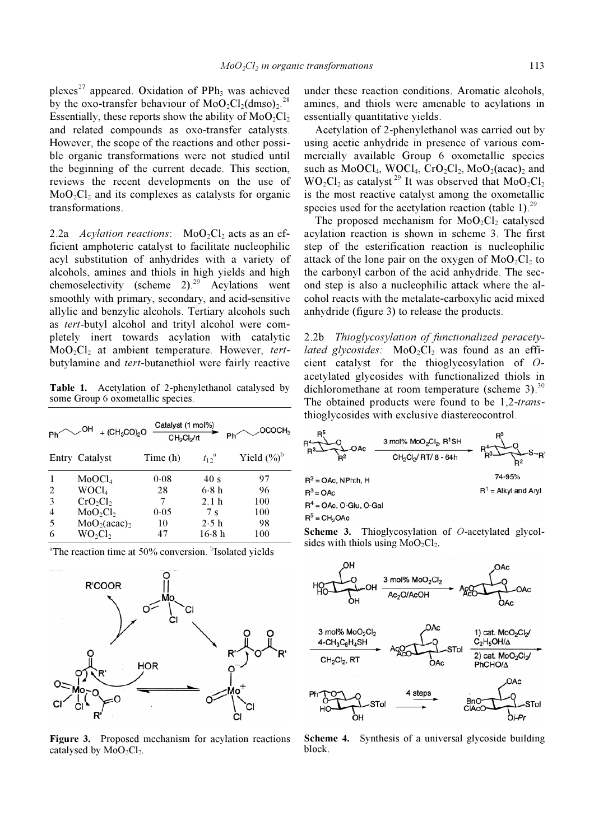plexes<sup>27</sup> appeared. Oxidation of PPh<sub>3</sub> was achieved by the oxo-transfer behaviour of  $MoO<sub>2</sub>Cl<sub>2</sub>(dmso)<sub>2</sub>$ .<sup>28</sup> Essentially, these reports show the ability of  $MoO_2Cl_2$ and related compounds as oxo-transfer catalysts. However, the scope of the reactions and other possible organic transformations were not studied until the beginning of the current decade. This section, reviews the recent developments on the use of  $MoO<sub>2</sub>Cl<sub>2</sub>$  and its complexes as catalysts for organic transformations.

2.2a Acylation reactions:  $MoO<sub>2</sub>Cl<sub>2</sub>$  acts as an efficient amphoteric catalyst to facilitate nucleophilic acyl substitution of anhydrides with a variety of alcohols, amines and thiols in high yields and high chemoselectivity (scheme  $2)^{29}$  Acylations went smoothly with primary, secondary, and acid-sensitive allylic and benzylic alcohols. Tertiary alcohols such as tert-butyl alcohol and trityl alcohol were completely inert towards acylation with catalytic  $MoO<sub>2</sub>Cl<sub>2</sub>$  at ambient temperature. However, tertbutylamine and tert-butanethiol were fairly reactive

Table 1. Acetylation of 2-phenylethanol catalysed by some Group 6 oxometallic species.

|   | OH<br>+ $(CH_3CO)_2O$                | Catalyst (1 mol%)<br>CH <sub>2</sub> Cl <sub>2</sub> /rt | Phí                 | OCOCH <sub>2</sub> |
|---|--------------------------------------|----------------------------------------------------------|---------------------|--------------------|
|   | Entry Catalyst                       | Time (h)                                                 | $t_{12}^{\text{a}}$ | Yield $(\%)^{b}$   |
|   | MoOCl <sub>4</sub>                   | 0.08                                                     | 40 s                | 97                 |
| 2 | WOCl <sub>4</sub>                    | 28                                                       | 6.8h                | 96                 |
| 3 | $CrO_2Cl_2$                          | 7                                                        | 2.1h                | 100                |
| 4 | MoO <sub>2</sub> Cl <sub>2</sub>     | 0.05                                                     | 7s                  | 100                |
| 5 | MoO <sub>2</sub> (acac) <sub>2</sub> | 10                                                       | 2.5h                | 98                 |
| 6 | WO <sub>2</sub> Cl <sub>2</sub>      | 47                                                       | 16.8 h              | 100                |

<sup>a</sup>The reaction time at 50% conversion. <sup>b</sup>Isolated yields



Figure 3. Proposed mechanism for acylation reactions catalysed by  $MoO<sub>2</sub>Cl<sub>2</sub>$ .

under these reaction conditions. Aromatic alcohols, amines, and thiols were amenable to acylations in essentially quantitative yields.

 Acetylation of 2-phenylethanol was carried out by using acetic anhydride in presence of various commercially available Group 6 oxometallic species such as  $MoOCl<sub>4</sub>, WOCl<sub>4</sub>, CrO<sub>2</sub>Cl<sub>2</sub>, MoO<sub>2</sub>(acac)<sub>2</sub>$  and  $WO_2Cl_2$  as catalyst.<sup>29</sup> It was observed that  $MoO_2Cl_2$ is the most reactive catalyst among the oxometallic species used for the acetylation reaction (table 1).<sup>29</sup>

The proposed mechanism for  $MoO<sub>2</sub>Cl<sub>2</sub>$  catalysed acylation reaction is shown in scheme 3. The first step of the esterification reaction is nucleophilic attack of the lone pair on the oxygen of  $MoO<sub>2</sub>Cl<sub>2</sub>$  to the carbonyl carbon of the acid anhydride. The second step is also a nucleophilic attack where the alcohol reacts with the metalate-carboxylic acid mixed anhydride (figure 3) to release the products.

2.2b Thioglycosylation of functionalized peracety*lated glycosides:*  $MoO<sub>2</sub>Cl<sub>2</sub>$  was found as an efficient catalyst for the thioglycosylation of Oacetylated glycosides with functionalized thiols in dichloromethane at room temperature (scheme 3). $^{30}$ The obtained products were found to be 1,2-transthioglycosides with exclusive diastereocontrol.



Scheme 3. Thioglycosylation of O-acetylated glycolsides with thiols using  $MoO<sub>2</sub>C1<sub>2</sub>$ .



Scheme 4. Synthesis of a universal glycoside building block.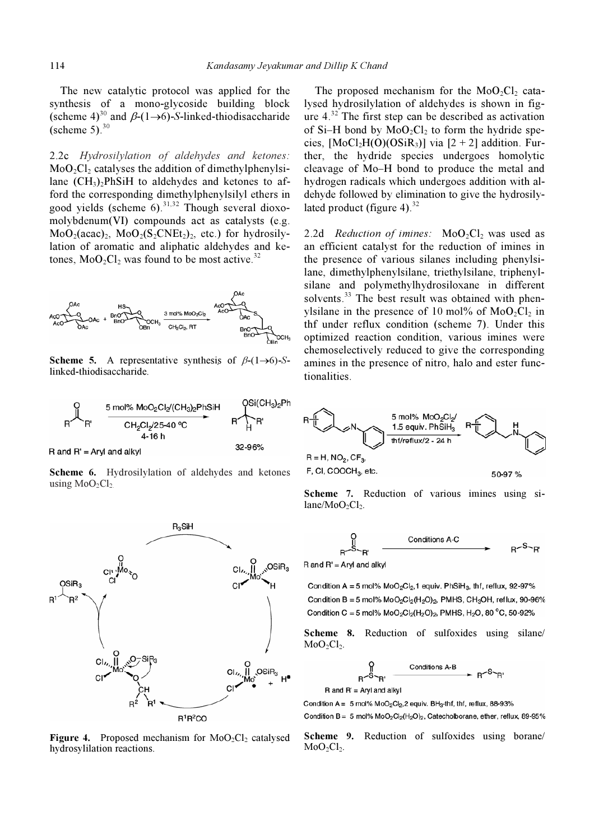The new catalytic protocol was applied for the synthesis of a mono-glycoside building block (scheme 4)<sup>30</sup> and  $\beta$ -(1→6)-S-linked-thiodisaccharide (scheme  $5)$ <sup>30</sup>

2.2c Hydrosilylation of aldehydes and ketones:  $MoO<sub>2</sub>Cl<sub>2</sub>$  catalyses the addition of dimethylphenylsilane  $(CH_3)$ <sub>2</sub>PhSiH to aldehydes and ketones to afford the corresponding dimethylphenylsilyl ethers in good yields (scheme  $6$ ).<sup>31,32</sup> Though several dioxomolybdenum(VI) compounds act as catalysts (e.g.  $MoO<sub>2</sub>(acac)<sub>2</sub>$ ,  $MoO<sub>2</sub>(S<sub>2</sub>CNEt<sub>2</sub>)<sub>2</sub>$ , etc.) for hydrosilylation of aromatic and aliphatic aldehydes and ketones,  $MoO<sub>2</sub>Cl<sub>2</sub>$  was found to be most active.<sup>32</sup>



Scheme 5. A representative synthesis of  $\beta$ -(1→6)-Slinked-thiodisaccharide.



 $R$  and  $R'$  = Aryl and alkyl

Scheme 6. Hydrosilylation of aldehydes and ketones using  $MoO<sub>2</sub>Cl<sub>2</sub>$ 



Figure 4. Proposed mechanism for  $MoO<sub>2</sub>Cl<sub>2</sub>$  catalysed hydrosylilation reactions.

The proposed mechanism for the  $MoO<sub>2</sub>Cl<sub>2</sub>$  catalysed hydrosilylation of aldehydes is shown in figure  $4^{32}$ . The first step can be described as activation of Si–H bond by  $MoO<sub>2</sub>Cl<sub>2</sub>$  to form the hydride species,  $[MoCl<sub>2</sub>H(O)(OSiR<sub>3</sub>)]$  via  $[2 + 2]$  addition. Further, the hydride species undergoes homolytic cleavage of Mo–H bond to produce the metal and hydrogen radicals which undergoes addition with aldehyde followed by elimination to give the hydrosilylated product (figure 4). $32$ 

2.2d Reduction of imines:  $MoO<sub>2</sub>Cl<sub>2</sub>$  was used as an efficient catalyst for the reduction of imines in the presence of various silanes including phenylsilane, dimethylphenylsilane, triethylsilane, triphenylsilane and polymethylhydrosiloxane in different solvents.<sup>33</sup> The best result was obtained with phenylsilane in the presence of 10 mol% of  $MoO_2Cl_2$  in thf under reflux condition (scheme 7). Under this optimized reaction condition, various imines were chemoselectively reduced to give the corresponding amines in the presence of nitro, halo and ester functionalities.



Scheme 7. Reduction of various imines using si $lane/MoO<sub>2</sub>Cl<sub>2</sub>$ .



 $R$  and  $R'$  = Aryl and alkyl

Condition A = 5 mol%  $MoO<sub>2</sub>Cl<sub>2</sub>$ , 1 equiv. PhSiH<sub>3</sub>, thf, reflux, 92-97% Condition B = 5 mol%  $MoO<sub>2</sub>Cl<sub>2</sub>(H<sub>2</sub>O)<sub>2</sub>$ , PMHS, CH<sub>3</sub>OH, reflux, 90-96% Condition C = 5 mol%  $MoO<sub>2</sub>Cl<sub>2</sub>(H<sub>2</sub>O)<sub>2</sub>$ , PMHS, H<sub>2</sub>O, 80<sup>°</sup>C, 50-92%

Scheme 8. Reduction of sulfoxides using silane/  $MoO<sub>2</sub>Cl<sub>2</sub>$ .

$$
\begin{array}{cc}\n\bigcap & \text{Conditions A-B} \\
R^{-S}R' & \xrightarrow{1} R^{S}R'\n\end{array}
$$

 $R$  and  $R' = Arvl$  and alkyl

Condition A =  $5 \text{ mol}$ % MoO<sub>2</sub>Cl<sub>2</sub>, 2 equiv. BH<sub>3</sub>-thf, thf, reflux, 88-93%

Condition B = 5 mol%  $MoO<sub>2</sub>Cl<sub>2</sub>(H<sub>2</sub>O)<sub>2</sub>$ , Catecholborane, ether, reflux, 89-95%

Scheme 9. Reduction of sulfoxides using borane/  $MoO<sub>2</sub>Cl<sub>2</sub>$ .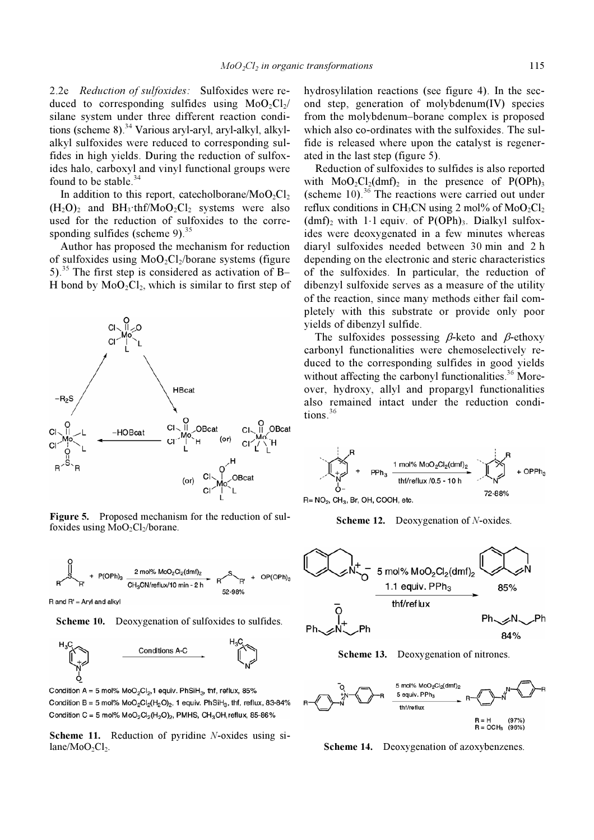2.2e Reduction of sulfoxides: Sulfoxides were reduced to corresponding sulfides using  $MoO<sub>2</sub>Cl<sub>2</sub>/$ silane system under three different reaction conditions (scheme 8).<sup>34</sup> Various aryl-aryl, aryl-alkyl, alkylalkyl sulfoxides were reduced to corresponding sulfides in high yields. During the reduction of sulfoxides halo, carboxyl and vinyl functional groups were found to be stable.<sup>34</sup>

In addition to this report, catecholborane/MoO<sub>2</sub>Cl<sub>2</sub>  $(H_2O)_2$  and BH<sub>3</sub>·thf/MoO<sub>2</sub>Cl<sub>2</sub> systems were also used for the reduction of sulfoxides to the corresponding sulfides (scheme 9). $35$ 

 Author has proposed the mechanism for reduction of sulfoxides using  $MoO<sub>2</sub>Cl<sub>2</sub>/borane$  systems (figure 5).<sup>35</sup> The first step is considered as activation of B-H bond by  $MoO<sub>2</sub>Cl<sub>2</sub>$ , which is similar to first step of



Figure 5. Proposed mechanism for the reduction of sulfoxides using  $MoO<sub>2</sub>Cl<sub>2</sub>/borane$ .



R and R' = Aryl and alkyl

Scheme 10. Deoxygenation of sulfoxides to sulfides.



Condition A = 5 mol%  $MoO<sub>2</sub>Cl<sub>2</sub>$ , 1 equiv. PhSiH<sub>3</sub>, thf, reflux, 85% Condition B = 5 mol%  $MoO<sub>2</sub>Cl<sub>2</sub>(H<sub>2</sub>O)<sub>2</sub>$ , 1 equiv. PhSiH<sub>3</sub>, thf, reflux, 83-84% Condition C = 5 mol%  $MoO<sub>2</sub>Cl<sub>2</sub>(H<sub>2</sub>O)<sub>2</sub>$ , PMHS, CH<sub>3</sub>OH, reflux, 85-86%

Scheme 11. Reduction of pyridine N-oxides using si $lane/MoO<sub>2</sub>Cl<sub>2</sub>$ .

hydrosylilation reactions (see figure 4). In the second step, generation of molybdenum(IV) species from the molybdenum–borane complex is proposed which also co-ordinates with the sulfoxides. The sulfide is released where upon the catalyst is regenerated in the last step (figure 5).

 Reduction of sulfoxides to sulfides is also reported with  $MoO<sub>2</sub>Cl<sub>2</sub>(dmf)<sub>2</sub>$  in the presence of P(OPh)<sub>3</sub> (scheme  $10$ ).<sup>36</sup> The reactions were carried out under reflux conditions in CH<sub>3</sub>CN using 2 mol% of  $MoO<sub>2</sub>Cl<sub>2</sub>$  $(dmf)$ <sub>2</sub> with 1⋅1 equiv. of P(OPh)<sub>3</sub>. Dialkyl sulfoxides were deoxygenated in a few minutes whereas diaryl sulfoxides needed between 30 min and 2 h depending on the electronic and steric characteristics of the sulfoxides. In particular, the reduction of dibenzyl sulfoxide serves as a measure of the utility of the reaction, since many methods either fail completely with this substrate or provide only poor yields of dibenzyl sulfide.

The sulfoxides possessing  $\beta$ -keto and  $\beta$ -ethoxy carbonyl functionalities were chemoselectively reduced to the corresponding sulfides in good yields without affecting the carbonyl functionalities.<sup>36</sup> Moreover, hydroxy, allyl and propargyl functionalities also remained intact under the reduction conditions.<sup>36</sup>



 $R = NO<sub>2</sub>$ , CH<sub>3</sub>, Br, OH, COOH, etc.

Scheme 12. Deoxygenation of N-oxides.



Scheme 13. Deoxygenation of nitrones.



Scheme 14. Deoxygenation of azoxybenzenes.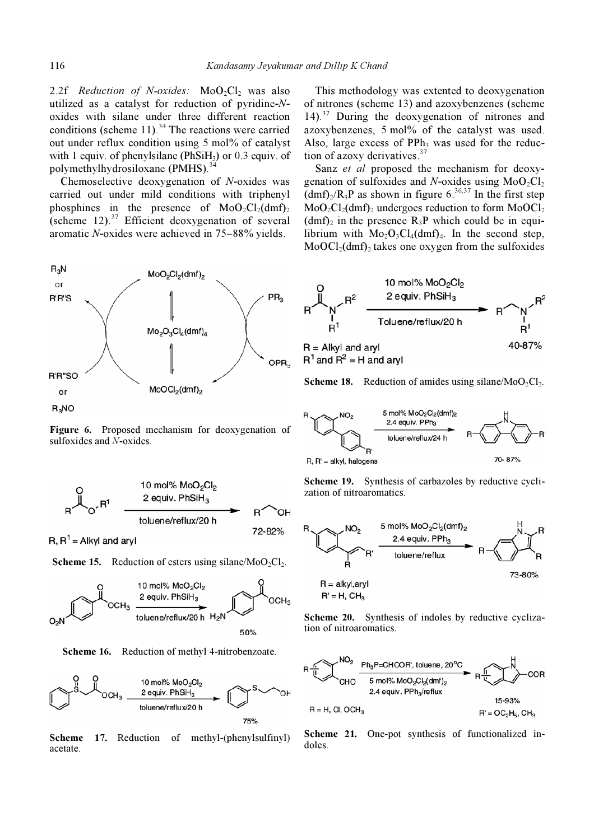2.2f Reduction of N-oxides:  $MoO_2Cl_2$  was also utilized as a catalyst for reduction of pyridine-Noxides with silane under three different reaction conditions (scheme 11).<sup>34</sup> The reactions were carried out under reflux condition using 5 mol% of catalyst with 1 equiv. of phenylsilane (PhSi $H_3$ ) or 0.3 equiv. of polymethylhydrosiloxane (PMHS).<sup>34</sup>

 Chemoselective deoxygenation of N-oxides was carried out under mild conditions with triphenyl phosphines in the presence of  $MoO<sub>2</sub>Cl<sub>2</sub>(dmf)<sub>2</sub>$ (scheme 12). $37$  Efficient deoxygenation of several aromatic N-oxides were achieved in 75–88% yields.



Figure 6. Proposed mechanism for deoxygenation of sulfoxides and N-oxides.



R,  $R^1$  = Alkyl and aryl

**Scheme 15.** Reduction of esters using silane/MoO<sub>2</sub>Cl<sub>2</sub>.



Scheme 16. Reduction of methyl 4-nitrobenzoate.



Scheme 17. Reduction of methyl-(phenylsulfinyl) acetate.

 This methodology was extented to deoxygenation of nitrones (scheme 13) and azoxybenzenes (scheme  $14$ ).<sup>37</sup> During the deoxygenation of nitrones and azoxybenzenes, 5 mol% of the catalyst was used. Also, large excess of  $PPh<sub>3</sub>$  was used for the reduction of azoxy derivatives.<sup>37</sup>

Sanz et al proposed the mechanism for deoxygenation of sulfoxides and N-oxides using  $MoO<sub>2</sub>Cl<sub>2</sub>$  $\text{dim} f_{2}/R_{3}P$  as shown in figure 6.<sup>36,37</sup> In the first step  $MoO<sub>2</sub>Cl<sub>2</sub>(dmf)<sub>2</sub> undergoes reduction to form  $MoOCl<sub>2</sub>$$  $(dmf)$ <sub>2</sub> in the presence R<sub>3</sub>P which could be in equilibrium with  $Mo<sub>2</sub>O<sub>3</sub>Cl<sub>4</sub>(dmf)<sub>4</sub>$ . In the second step,  $MoOCl<sub>2</sub>(dmf)<sub>2</sub>$  takes one oxygen from the sulfoxides



**Scheme 18.** Reduction of amides using silane/MoO<sub>2</sub>Cl<sub>2</sub>.



Scheme 19. Synthesis of carbazoles by reductive cyclization of nitroaromatics.



Scheme 20. Synthesis of indoles by reductive cyclization of nitroaromatics.



Scheme 21. One-pot synthesis of functionalized indoles.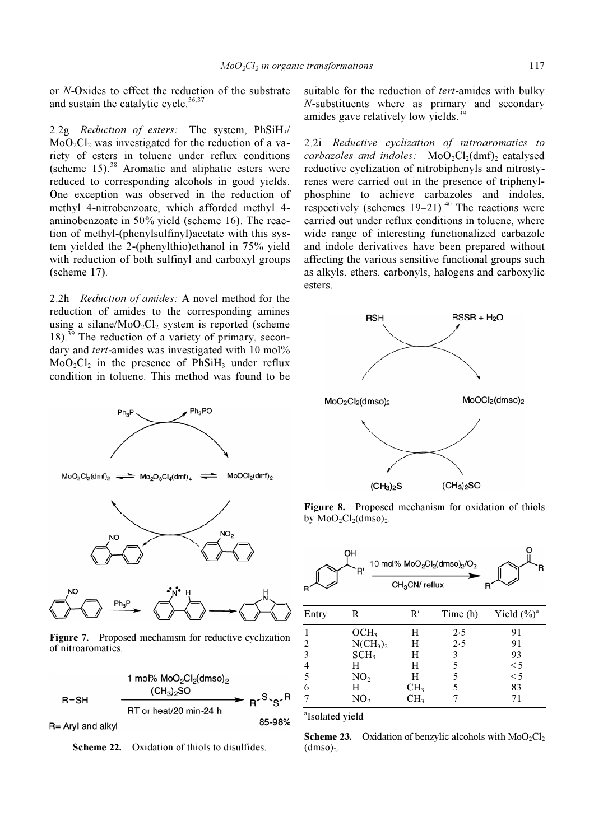or N-Oxides to effect the reduction of the substrate and sustain the catalytic cycle. $36,37$ 

2.2g Reduction of esters: The system,  $PhSiH<sub>3</sub>/$  $MoO<sub>2</sub>Cl<sub>2</sub>$  was investigated for the reduction of a variety of esters in toluene under reflux conditions (scheme  $15$ ).<sup>38</sup> Aromatic and aliphatic esters were reduced to corresponding alcohols in good yields. One exception was observed in the reduction of methyl 4-nitrobenzoate, which afforded methyl 4 aminobenzoate in 50% yield (scheme 16). The reaction of methyl-(phenylsulfinyl)acetate with this system yielded the 2-(phenylthio)ethanol in 75% yield with reduction of both sulfinyl and carboxyl groups (scheme 17).

2.2h Reduction of amides: A novel method for the reduction of amides to the corresponding amines using a silane/ $MoO_2Cl_2$  system is reported (scheme  $18$ ).<sup>39</sup> The reduction of a variety of primary, secondary and tert-amides was investigated with 10 mol%  $MoO<sub>2</sub>Cl<sub>2</sub>$  in the presence of PhSiH<sub>3</sub> under reflux condition in toluene. This method was found to be



Figure 7. Proposed mechanism for reductive cyclization of nitroaromatics.

1 mol% MoO<sub>2</sub>Cl<sub>2</sub>(dmso)<sub>2</sub>  $(CH_3)_2$ SO  $\blacktriangleright$   $R^{\backsim S}$  $S^{\backsim R}$  $R-SH$ RT or heat/20 min-24 h

R= Aryl and alkyl

Scheme 22. Oxidation of thiols to disulfides.

suitable for the reduction of tert-amides with bulky N-substituents where as primary and secondary amides gave relatively low yields.<sup>39</sup>

2.2i Reductive cyclization of nitroaromatics to carbazoles and indoles:  $MoO<sub>2</sub>Cl<sub>2</sub>(dmf)<sub>2</sub>$  catalysed reductive cyclization of nitrobiphenyls and nitrostyrenes were carried out in the presence of triphenylphosphine to achieve carbazoles and indoles, respectively (schemes  $19-21$ ).<sup>40</sup> The reactions were carried out under reflux conditions in toluene, where wide range of interesting functionalized carbazole and indole derivatives have been prepared without affecting the various sensitive functional groups such as alkyls, ethers, carbonyls, halogens and carboxylic esters.



Figure 8. Proposed mechanism for oxidation of thiols by  $MoO<sub>2</sub>Cl<sub>2</sub>(dmso)<sub>2</sub>$ .

|       | OH<br>R'                        | 10 mol% MoO <sub>2</sub> Cl <sub>2</sub> (dmso) <sub>2</sub> /O <sub>2</sub><br>$CH3CN$ reflux |          |                         |
|-------|---------------------------------|------------------------------------------------------------------------------------------------|----------|-------------------------|
| Entry | R                               | R'                                                                                             | Time (h) | Yield $(\frac{6}{9})^a$ |
|       | OCH <sub>3</sub>                | H                                                                                              | 2.5      | 91                      |
| 2     | NCH <sub>3</sub> ) <sub>2</sub> | H                                                                                              | 2.5      | 91                      |
| 3     | SCH <sub>3</sub>                | H                                                                                              | 3        | 93                      |
| 4     | H                               | H                                                                                              | 5        | $\leq$ 5                |
| 5     | NO <sub>2</sub>                 | H                                                                                              | 5        | $\leq$ 5                |
| 6     | H                               | CH <sub>3</sub>                                                                                | 5        | 83                      |
|       | NO <sub>2</sub>                 | CH3                                                                                            |          | 71                      |



85-98%

**Scheme 23.** Oxidation of benzylic alcohols with  $MoO<sub>2</sub>Cl<sub>2</sub>$  $(dmso)<sub>2</sub>$ .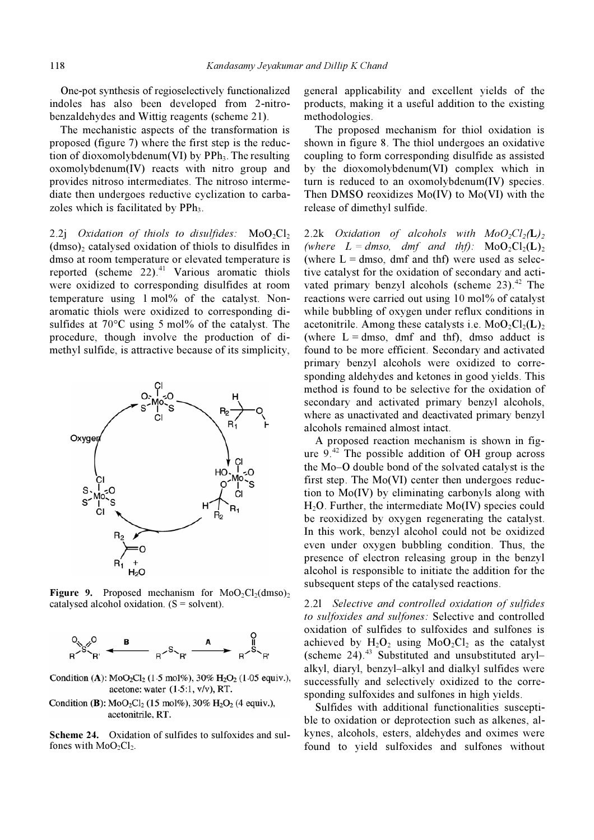One-pot synthesis of regioselectively functionalized indoles has also been developed from 2-nitrobenzaldehydes and Wittig reagents (scheme 21).

 The mechanistic aspects of the transformation is proposed (figure 7) where the first step is the reduction of dioxomolybdenum(VI) by  $PPh_3$ . The resulting oxomolybdenum(IV) reacts with nitro group and provides nitroso intermediates. The nitroso intermediate then undergoes reductive cyclization to carbazoles which is facilitated by PPh<sub>3</sub>.

2.2j Oxidation of thiols to disulfides:  $MoO<sub>2</sub>Cl<sub>2</sub>$  $(dmso)$  catalysed oxidation of thiols to disulfides in dmso at room temperature or elevated temperature is reported (scheme  $22)$ .<sup>41</sup> Various aromatic thiols were oxidized to corresponding disulfides at room temperature using 1 mol% of the catalyst. Nonaromatic thiols were oxidized to corresponding disulfides at 70°C using 5 mol% of the catalyst. The procedure, though involve the production of dimethyl sulfide, is attractive because of its simplicity,



**Figure 9.** Proposed mechanism for  $MoO<sub>2</sub>Cl<sub>2</sub>(dmso)<sub>2</sub>$ catalysed alcohol oxidation.  $(S = solvent)$ .



Condition (A):  $MoO_2Cl_2$  (1.5 mol%), 30% H<sub>2</sub>O<sub>2</sub> (1.05 equiv.), acetone: water  $(1.5:1, v/v)$ , RT.

Condition (B):  $MoO<sub>2</sub>Cl<sub>2</sub>$  (15 mol%), 30% H<sub>2</sub>O<sub>2</sub> (4 equiv.), acetonitrile, RT.

Scheme 24. Oxidation of sulfides to sulfoxides and sulfones with  $MoO<sub>2</sub>Cl<sub>2</sub>$ .

general applicability and excellent yields of the products, making it a useful addition to the existing methodologies.

 The proposed mechanism for thiol oxidation is shown in figure 8. The thiol undergoes an oxidative coupling to form corresponding disulfide as assisted by the dioxomolybdenum(VI) complex which in turn is reduced to an oxomolybdenum(IV) species. Then DMSO reoxidizes Mo(IV) to Mo(VI) with the release of dimethyl sulfide.

2.2k Oxidation of alcohols with  $MoO_2Cl_2(L)_2$ (where  $L = dmso$ , dmf and thf):  $MoO<sub>2</sub>Cl<sub>2</sub>(L)<sub>2</sub>$ (where  $L =$  dmso, dmf and thf) were used as selective catalyst for the oxidation of secondary and activated primary benzyl alcohols (scheme  $23$ ).<sup>42</sup> The reactions were carried out using 10 mol% of catalyst while bubbling of oxygen under reflux conditions in acetonitrile. Among these catalysts i.e.  $MoO_2Cl_2(L)$ (where  $L = dmso$ , dmf and thf), dmso adduct is found to be more efficient. Secondary and activated primary benzyl alcohols were oxidized to corresponding aldehydes and ketones in good yields. This method is found to be selective for the oxidation of secondary and activated primary benzyl alcohols, where as unactivated and deactivated primary benzyl alcohols remained almost intact.

 A proposed reaction mechanism is shown in figure  $9.42$  The possible addition of OH group across the Mo–O double bond of the solvated catalyst is the first step. The Mo(VI) center then undergoes reduction to Mo(IV) by eliminating carbonyls along with  $H_2O$ . Further, the intermediate Mo(IV) species could be reoxidized by oxygen regenerating the catalyst. In this work, benzyl alcohol could not be oxidized even under oxygen bubbling condition. Thus, the presence of electron releasing group in the benzyl alcohol is responsible to initiate the addition for the subsequent steps of the catalysed reactions.

2.2l Selective and controlled oxidation of sulfides to sulfoxides and sulfones: Selective and controlled oxidation of sulfides to sulfoxides and sulfones is achieved by  $H_2O_2$  using  $MoO_2Cl_2$  as the catalyst (scheme 24). $43$  Substituted and unsubstituted aryl– alkyl, diaryl, benzyl–alkyl and dialkyl sulfides were successfully and selectively oxidized to the corresponding sulfoxides and sulfones in high yields.

 Sulfides with additional functionalities susceptible to oxidation or deprotection such as alkenes, alkynes, alcohols, esters, aldehydes and oximes were found to yield sulfoxides and sulfones without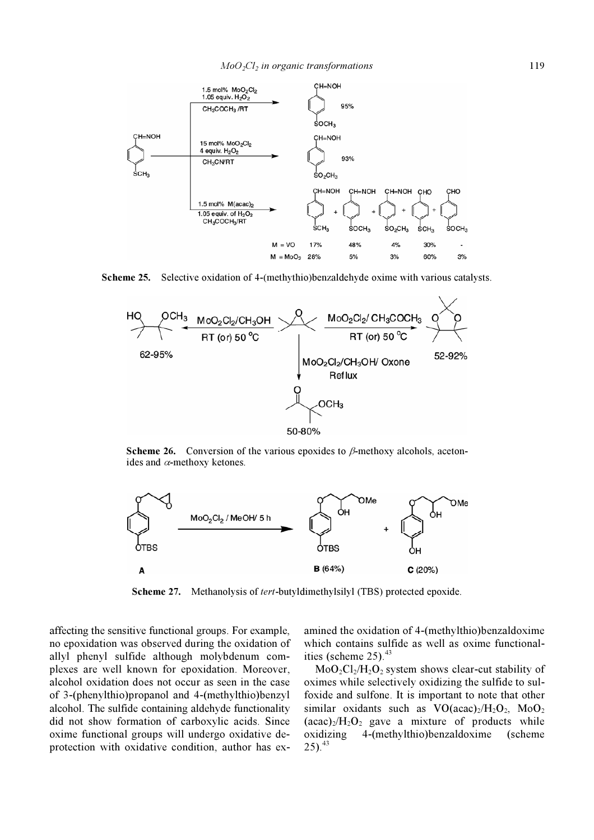

Scheme 25. Selective oxidation of 4-(methythio)benzaldehyde oxime with various catalysts.



Scheme 26. Conversion of the various epoxides to  $\beta$ -methoxy alcohols, acetonides and  $\alpha$ -methoxy ketones.



Scheme 27. Methanolysis of tert-butyldimethylsilyl (TBS) protected epoxide.

affecting the sensitive functional groups. For example, no epoxidation was observed during the oxidation of allyl phenyl sulfide although molybdenum complexes are well known for epoxidation. Moreover, alcohol oxidation does not occur as seen in the case of 3-(phenylthio)propanol and 4-(methylthio)benzyl alcohol. The sulfide containing aldehyde functionality did not show formation of carboxylic acids. Since oxime functional groups will undergo oxidative deprotection with oxidative condition, author has examined the oxidation of 4-(methylthio)benzaldoxime which contains sulfide as well as oxime functionalities (scheme  $25)$ .<sup>43</sup>

 $MoO<sub>2</sub>Cl<sub>2</sub>/H<sub>2</sub>O<sub>2</sub>$  system shows clear-cut stability of oximes while selectively oxidizing the sulfide to sulfoxide and sulfone. It is important to note that other similar oxidants such as  $VO(acac)<sub>2</sub>/H<sub>2</sub>O<sub>2</sub>$ ,  $MoO<sub>2</sub>$  $(\text{acac})_2/H_2O_2$  gave a mixture of products while oxidizing 4-(methylthio)benzaldoxime (scheme  $25)$ .<sup>43</sup>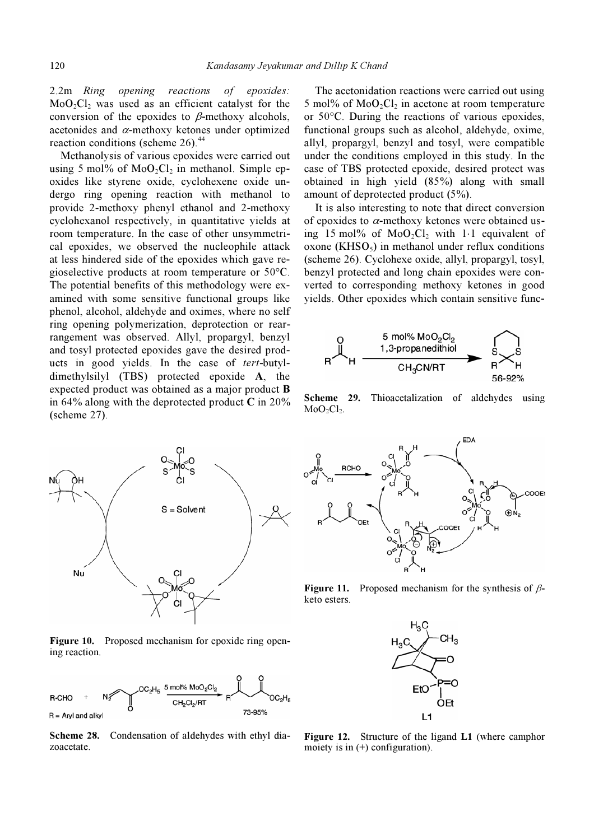2.2m Ring opening reactions of epoxides:  $MoO<sub>2</sub>Cl<sub>2</sub>$  was used as an efficient catalyst for the conversion of the epoxides to  $\beta$ -methoxy alcohols, acetonides and  $\alpha$ -methoxy ketones under optimized reaction conditions (scheme  $26$ ).<sup>44</sup>

 Methanolysis of various epoxides were carried out using 5 mol% of  $MoO<sub>2</sub>Cl<sub>2</sub>$  in methanol. Simple epoxides like styrene oxide, cyclohexene oxide undergo ring opening reaction with methanol to provide 2-methoxy phenyl ethanol and 2-methoxy cyclohexanol respectively, in quantitative yields at room temperature. In the case of other unsymmetrical epoxides, we observed the nucleophile attack at less hindered side of the epoxides which gave regioselective products at room temperature or 50°C. The potential benefits of this methodology were examined with some sensitive functional groups like phenol, alcohol, aldehyde and oximes, where no self ring opening polymerization, deprotection or rearrangement was observed. Allyl, propargyl, benzyl and tosyl protected epoxides gave the desired products in good yields. In the case of tert-butyldimethylsilyl (TBS) protected epoxide A, the expected product was obtained as a major product B in 64% along with the deprotected product  $C$  in 20% (scheme 27).



Figure 10. Proposed mechanism for epoxide ring opening reaction.



Scheme 28. Condensation of aldehydes with ethyl diazoacetate.

 The acetonidation reactions were carried out using 5 mol% of  $MoO<sub>2</sub>Cl<sub>2</sub>$  in acetone at room temperature or 50°C. During the reactions of various epoxides, functional groups such as alcohol, aldehyde, oxime, allyl, propargyl, benzyl and tosyl, were compatible under the conditions employed in this study. In the case of TBS protected epoxide, desired protect was obtained in high yield (85%) along with small amount of deprotected product (5%).

 It is also interesting to note that direct conversion of epoxides to  $\alpha$ -methoxy ketones were obtained using 15 mol% of  $MoO<sub>2</sub>Cl<sub>2</sub>$  with 1⋅1 equivalent of  $\alpha$ xone (KHSO<sub>5</sub>) in methanol under reflux conditions (scheme 26). Cyclohexe oxide, allyl, propargyl, tosyl, benzyl protected and long chain epoxides were converted to corresponding methoxy ketones in good yields. Other epoxides which contain sensitive func-



Scheme 29. Thioacetalization of aldehydes using  $MoO<sub>2</sub>Cl<sub>2</sub>$ .



**Figure 11.** Proposed mechanism for the synthesis of  $\beta$ keto esters.



Figure 12. Structure of the ligand L1 (where camphor moiety is in (+) configuration).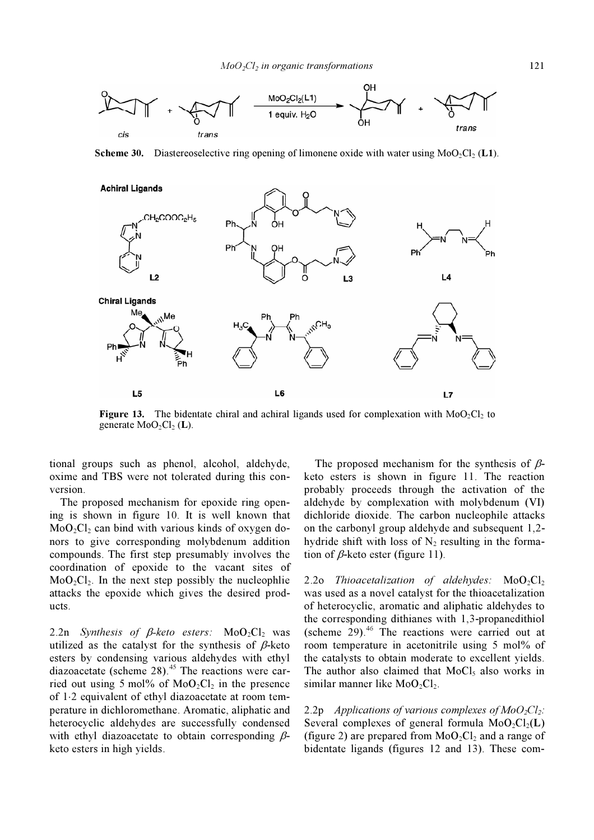

**Scheme 30.** Diastereoselective ring opening of limonene oxide with water using MoO<sub>2</sub>Cl<sub>2</sub> (L1).



**Figure 13.** The bidentate chiral and achiral ligands used for complexation with  $MoO<sub>2</sub>Cl<sub>2</sub>$  to generate  $MoO<sub>2</sub>Cl<sub>2</sub>$  (L).

tional groups such as phenol, alcohol, aldehyde, oxime and TBS were not tolerated during this conversion.

 The proposed mechanism for epoxide ring opening is shown in figure 10. It is well known that  $MoO<sub>2</sub>Cl<sub>2</sub>$  can bind with various kinds of oxygen donors to give corresponding molybdenum addition compounds. The first step presumably involves the coordination of epoxide to the vacant sites of  $MoO<sub>2</sub>Cl<sub>2</sub>$ . In the next step possibly the nucleophlie attacks the epoxide which gives the desired products.

2.2n Synthesis of  $\beta$ -keto esters: MoO<sub>2</sub>Cl<sub>2</sub> was utilized as the catalyst for the synthesis of  $\beta$ -keto esters by condensing various aldehydes with ethyl diazoacetate (scheme  $28$ ).<sup>45</sup> The reactions were carried out using 5 mol% of  $MoO<sub>2</sub>Cl<sub>2</sub>$  in the presence of 1⋅2 equivalent of ethyl diazoacetate at room temperature in dichloromethane. Aromatic, aliphatic and heterocyclic aldehydes are successfully condensed with ethyl diazoacetate to obtain corresponding  $\beta$ keto esters in high yields.

The proposed mechanism for the synthesis of  $\beta$ keto esters is shown in figure 11. The reaction probably proceeds through the activation of the aldehyde by complexation with molybdenum (VI) dichloride dioxide. The carbon nucleophile attacks on the carbonyl group aldehyde and subsequent 1,2 hydride shift with loss of  $N_2$  resulting in the formation of  $\beta$ -keto ester (figure 11).

2.2o Thioacetalization of aldehydes:  $MoO<sub>2</sub>Cl<sub>2</sub>$ was used as a novel catalyst for the thioacetalization of heterocyclic, aromatic and aliphatic aldehydes to the corresponding dithianes with 1,3-propanedithiol (scheme  $29$ ).<sup>46</sup> The reactions were carried out at room temperature in acetonitrile using 5 mol% of the catalysts to obtain moderate to excellent yields. The author also claimed that  $MoCl<sub>5</sub>$  also works in similar manner like  $MoO<sub>2</sub>Cl<sub>2</sub>$ .

2.2p Applications of various complexes of  $MoO_2Cl_2$ : Several complexes of general formula  $MoO_2Cl_2(L)$ (figure 2) are prepared from  $MoO<sub>2</sub>Cl<sub>2</sub>$  and a range of bidentate ligands (figures 12 and 13). These com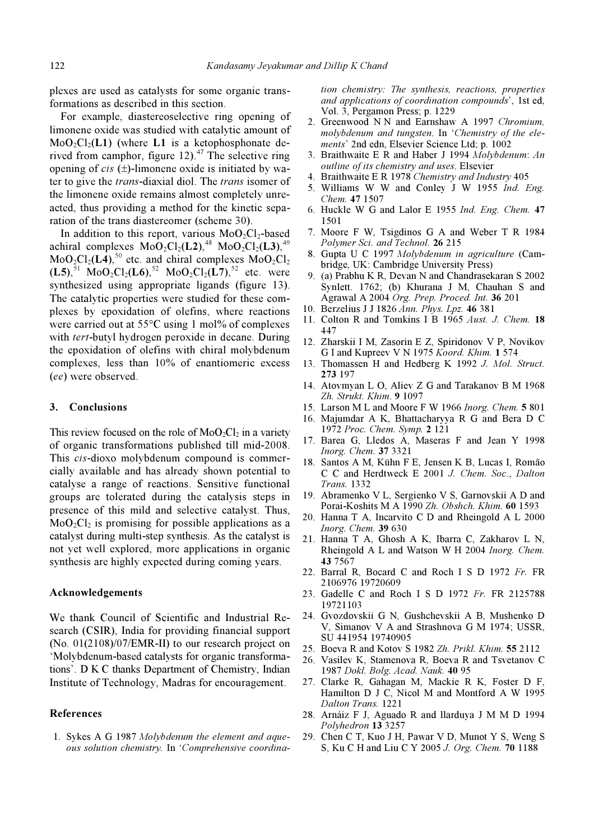plexes are used as catalysts for some organic transformations as described in this section.

 For example, diastereoselective ring opening of limonene oxide was studied with catalytic amount of  $MoO<sub>2</sub>Cl<sub>2</sub>(L1)$  (where L1 is a ketophosphonate derived from camphor, figure  $12$ ).<sup>47</sup> The selective ring opening of *cis*  $(\pm)$ -limonene oxide is initiated by water to give the trans-diaxial diol. The trans isomer of the limonene oxide remains almost completely unreacted, thus providing a method for the kinetic separation of the trans diastereomer (scheme 30).

In addition to this report, various  $MoO<sub>2</sub>Cl<sub>2</sub>$ -based achiral complexes  $MoO<sub>2</sub>Cl<sub>2</sub>(L2),<sup>48</sup> MoO<sub>2</sub>Cl<sub>2</sub>(L3),<sup>49</sup>$  $MoO<sub>2</sub>Cl<sub>2</sub>(L<sup>4</sup>)<sub>2</sub><sup>50</sup>$  etc. and chiral complexes  $MoO<sub>2</sub>Cl<sub>2</sub>$  $(L5)$ ,<sup>51</sup> MoO<sub>2</sub>Cl<sub>2</sub>(L6),<sup>52</sup> MoO<sub>2</sub>Cl<sub>2</sub>(L7),<sup>52</sup> etc. were synthesized using appropriate ligands (figure 13). The catalytic properties were studied for these complexes by epoxidation of olefins, where reactions were carried out at  $55^{\circ}$ C using 1 mol% of complexes with *tert*-butyl hydrogen peroxide in decane. During the epoxidation of olefins with chiral molybdenum complexes, less than 10% of enantiomeric excess (ee) were observed.

#### 3. Conclusions

This review focused on the role of  $MoO<sub>2</sub>Cl<sub>2</sub>$  in a variety of organic transformations published till mid-2008. This cis-dioxo molybdenum compound is commercially available and has already shown potential to catalyse a range of reactions. Sensitive functional groups are tolerated during the catalysis steps in presence of this mild and selective catalyst. Thus,  $MoO<sub>2</sub>Cl<sub>2</sub>$  is promising for possible applications as a catalyst during multi-step synthesis. As the catalyst is not yet well explored, more applications in organic synthesis are highly expected during coming years.

#### Acknowledgements

We thank Council of Scientific and Industrial Research (CSIR), India for providing financial support (No. 01(2108)/07/EMR-II) to our research project on 'Molybdenum-based catalysts for organic transformations'. D K C thanks Department of Chemistry, Indian Institute of Technology, Madras for encouragement.

# References

1. Sykes A G 1987 Molybdenum the element and aqueous solution chemistry. In 'Comprehensive coordination chemistry: The synthesis, reactions, properties and applications of coordination compounds', 1st ed, Vol. 3, Pergamon Press; p. 1229

- 2. Greenwood N N and Earnshaw A 1997 Chromium, molybdenum and tungsten. In 'Chemistry of the elements' 2nd edn, Elsevier Science Ltd; p. 1002
- 3. Braithwaite E R and Haber J 1994 Molybdenum: An outline of its chemistry and uses. Elsevier
- 4. Braithwaite E R 1978 Chemistry and Industry 405
- 5. Williams W W and Conley J W 1955 Ind. Eng. Chem. 47 1507
- 6. Huckle W G and Lalor E 1955 Ind. Eng. Chem. 47 1501
- 7. Moore F W, Tsigdinos G A and Weber T R 1984 Polymer Sci. and Technol. 26 215
- 8. Gupta U C 1997 Molybdenum in agriculture (Cambridge, UK: Cambridge University Press)
- 9. (a) Prabhu K R, Devan N and Chandrasekaran S 2002 Synlett. 1762; (b) Khurana J M, Chauhan S and Agrawal A 2004 Org. Prep. Proced. Int. 36 201
- 10. Berzelius J J 1826 Ann. Phys. Lpz. 46 381
- 11. Colton R and Tomkins I B 1965 Aust. J. Chem. 18 447
- 12. Zharskii I M, Zasorin E Z, Spiridonov V P, Novikov G I and Kupreev V N 1975 Koord. Khim. 1 574
- 13. Thomassen H and Hedberg K 1992 J. Mol. Struct. 273 197
- 14. Atovmyan L O, Aliev Z G and Tarakanov B M 1968 Zh. Strukt. Khim. 9 1097
- 15. Larson M L and Moore F W 1966 Inorg. Chem. 5 801
- 16. Majumdar A K, Bhattacharyya R G and Bera D C 1972 Proc. Chem. Symp. 2 121
- 17. Barea G, Lledos A, Maseras F and Jean Y 1998 Inorg. Chem. 37 3321
- 18. Santos A M, Kühn F E, Jensen K B, Lucas I, Romão C C and Herdtweck E 2001 J. Chem. Soc., Dalton Trans. 1332
- 19. Abramenko V L, Sergienko V S, Garnovskii A D and Porai-Koshits M A 1990 Zh. Obshch. Khim. 60 1593
- 20. Hanna T A, Incarvito C D and Rheingold A L 2000 Inorg. Chem. 39 630
- 21. Hanna T A, Ghosh A K, Ibarra C, Zakharov L N, Rheingold A L and Watson W H 2004 Inorg. Chem. 43 7567
- 22. Barral R, Bocard C and Roch I S D 1972 Fr. FR 2106976 19720609
- 23. Gadelle C and Roch I S D 1972 Fr. FR 2125788 19721103
- 24. Gvozdovskii G N, Gushchevskii A B, Mushenko D V, Simanov V A and Strashnova G M 1974; USSR, SU 441954 19740905
- 25. Boeva R and Kotov S 1982 Zh. Prikl. Khim. 55 2112
- 26. Vasilev K, Stamenova R, Boeva R and Tsvetanov C 1987 Dokl. Bolg. Acad. Nauk. 40 95
- 27. Clarke R, Gahagan M, Mackie R K, Foster D F, Hamilton D J C, Nicol M and Montford A W 1995 Dalton Trans. 1221
- 28. Arnáiz F J, Aguado R and llarduya J M M D 1994 Polyhedron 13 3257
- 29. Chen C T, Kuo J H, Pawar V D, Munot Y S, Weng S S, Ku C H and Liu C Y 2005 J. Org. Chem. 70 1188